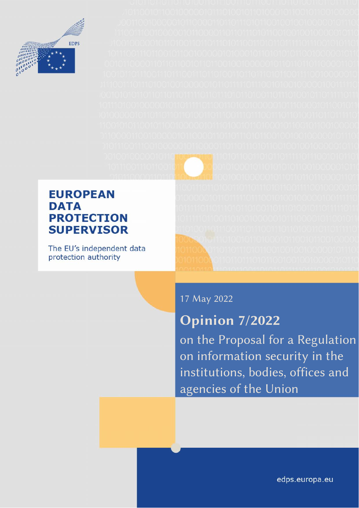

### **EUROPEAN DATA PROTECTION SUPERVISOR**

The EU's independent data protection authority

17 May 2022

# **Opinion 7/2022**

on the Proposal for a Regulation on information security in the institutions, bodies, offices and agencies of the Union

edps.europa.eu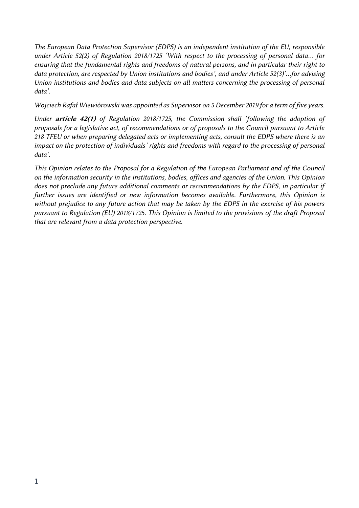*The European Data Protection Supervisor (EDPS) is an independent institution of the EU, responsible under Article 52(2) of Regulation 2018/1725 'With respect to the processing of personal data… for ensuring that the fundamental rights and freedoms of natural persons, and in particular their right to data protection, are respected by Union institutions and bodies', and under Article 52(3)'…for advising Union institutions and bodies and data subjects on all matters concerning the processing of personal data'.*

*Wojciech Rafał Wiewiórowski was appointed as Supervisor on 5 December 2019 for a term of five years.*

*Under article 42(1) of Regulation 2018/1725, the Commission shall 'following the adoption of proposals for a legislative act, of recommendations or of proposals to the Council pursuant to Article 218 TFEU or when preparing delegated acts or implementing acts, consult the EDPS where there is an impact on the protection of individuals' rights and freedoms with regard to the processing of personal data'.*

*This Opinion relates to the Proposal for a Regulation of the European Parliament and of the Council on the information security in the institutions, bodies, offices and agencies of the Union. This Opinion does not preclude any future additional comments or recommendations by the EDPS, in particular if further issues are identified or new information becomes available. Furthermore, this Opinion is without prejudice to any future action that may be taken by the EDPS in the exercise of his powers pursuant to Regulation (EU) 2018/1725. This Opinion is limited to the provisions of the draft Proposal that are relevant from a data protection perspective.*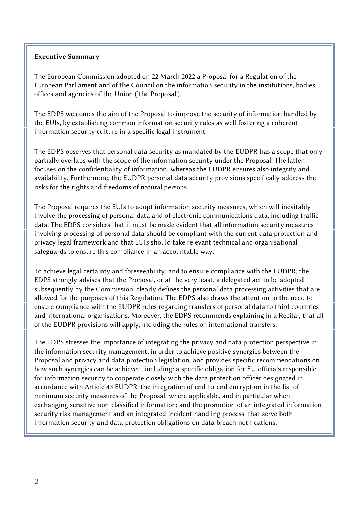#### **Executive Summary**

The European Commission adopted on 22 March 2022 a Proposal for a Regulation of the European Parliament and of the Council on the information security in the institutions, bodies, offices and agencies of the Union ('the Proposal').

The EDPS welcomes the aim of the Proposal to improve the security of information handled by the EUIs, by establishing common information security rules as well fostering a coherent information security culture in a specific legal instrument.

The EDPS observes that personal data security as mandated by the EUDPR has a scope that only partially overlaps with the scope of the information security under the Proposal. The latter focuses on the confidentiality of information, whereas the EUDPR ensures also integrity and availability. Furthermore, the EUDPR personal data security provisions specifically address the risks for the rights and freedoms of natural persons.

The Proposal requires the EUIs to adopt information security measures, which will inevitably involve the processing of personal data and of electronic communications data, including traffic data. The EDPS considers that it must be made evident that all information security measures involving processing of personal data should be compliant with the current data protection and privacy legal framework and that EUIs should take relevant technical and organisational safeguards to ensure this compliance in an accountable way.

To achieve legal certainty and foreseeability, and to ensure compliance with the EUDPR, the EDPS strongly advises that the Proposal, or at the very least, a delegated act to be adopted subsequently by the Commission, clearly defines the personal data processing activities that are allowed for the purposes of this Regulation. The EDPS also draws the attention to the need to ensure compliance with the EUDPR rules regarding transfers of personal data to third countries and international organisations. Moreover, the EDPS recommends explaining in a Recital, that all of the EUDPR provisions will apply, including the rules on international transfers.

The EDPS stresses the importance of integrating the privacy and data protection perspective in the information security management, in order to achieve positive synergies between the Proposal and privacy and data protection legislation, and provides specific recommendations on how such synergies can be achieved, including: a specific obligation for EU officials responsible for information security to cooperate closely with the data protection officer designated in accordance with Article 43 EUDPR; the integration of end-to-end encryption in the list of minimum security measures of the Proposal, where applicable, and in particular when exchanging sensitive non-classified information; and the promotion of an integrated information security risk management and an integrated incident handling process that serve both information security and data protection obligations on data breach notifications.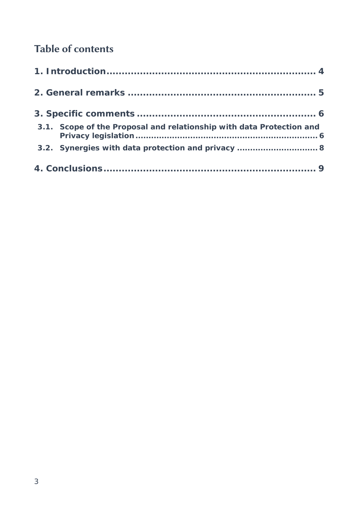## **Table of contents**

| 3.1. Scope of the Proposal and relationship with data Protection and |  |
|----------------------------------------------------------------------|--|
| 3.2. Synergies with data protection and privacy  8                   |  |
|                                                                      |  |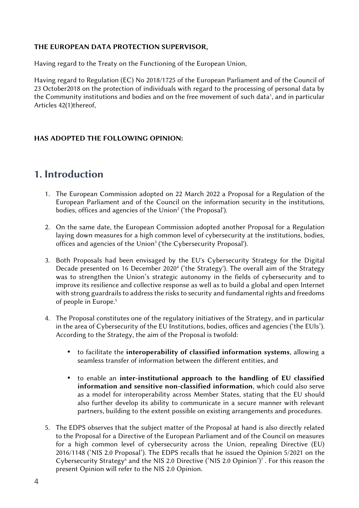#### **THE EUROPEAN DATA PROTECTION SUPERVISOR,**

Having regard to the Treaty on the Functioning of the European Union,

Having regard to Regulation (EC) No 2018/1725 of the European Parliament and of the Council of 23 October2018 on the protection of individuals with regard to the processing of personal data by the Community institutions and bodies and on the free movement of such data', and in particular Articles 42(1)thereof,

#### **HAS ADOPTED THE FOLLOWING OPINION:**

#### **1. Introduction**

- 1. The European Commission adopted on 22 March 2022 a Proposal for a Regulation of the European Parliament and of the Council on the information security in the institutions, bodies, offices and agencies of the Union<sup>2</sup> ('the Proposal').
- 2. On the same date, the European Commission adopted another Proposal for a Regulation laying down measures for a high common level of cybersecurity at the institutions, bodies, offices and agencies of the Union<sup>3</sup> ('the Cybersecurity Proposal').
- 3. Both Proposals had been envisaged by the EU's Cybersecurity Strategy for the Digital Decade presented on 16 December 2020<sup>4</sup> ('the Strategy'). The overall aim of the Strategy was to strengthen the Union's strategic autonomy in the fields of cybersecurity and to improve its resilience and collective response as well as to build a global and open Internet with strong guardrails to address the risks to security and fundamental rights and freedoms of people in Europe.<sup>5</sup>
- 4. The Proposal constitutes one of the regulatory initiatives of the Strategy, and in particular in the area of Cybersecurity of the EU Institutions, bodies, offices and agencies ('the EUIs'). According to the Strategy, the aim of the Proposal is twofold:
	- to facilitate the **interoperability of classified information systems**, allowing a seamless transfer of information between the different entities, and
	- to enable an **inter-institutional approach to the handling of EU classified information and sensitive non-classified information**, which could also serve as a model for interoperability across Member States, stating that the EU should also further develop its ability to communicate in a secure manner with relevant partners, building to the extent possible on existing arrangements and procedures.
- 5. The EDPS observes that the subject matter of the Proposal at hand is also directly related to the Proposal for a Directive of the European Parliament and of the Council on measures for a high common level of cybersecurity across the Union, repealing Directive (EU) 2016/1148 ('NIS 2.0 Proposal'). The EDPS recalls that he issued the Opinion 5/2021 on the Cybersecurity Strategy<sup>6</sup> and the NIS 2.0 Directive ('NIS 2.0 Opinion')<sup>7</sup>. For this reason the present Opinion will refer to the NIS 2.0 Opinion.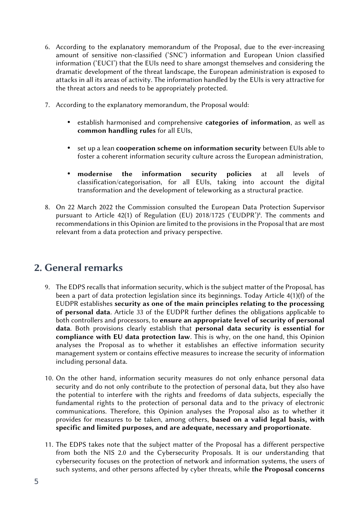- 6. According to the explanatory memorandum of the Proposal, due to the ever-increasing amount of sensitive non-classified ('SNC') information and European Union classified information ('EUCI') that the EUIs need to share amongst themselves and considering the dramatic development of the threat landscape, the European administration is exposed to attacks in all its areas of activity. The information handled by the EUIs is very attractive for the threat actors and needs to be appropriately protected.
- 7. According to the explanatory memorandum, the Proposal would:
	- establish harmonised and comprehensive **categories of information**, as well as **common handling rules** for all EUIs,
	- set up a lean **cooperation scheme on information security** between EUIs able to foster a coherent information security culture across the European administration,
	- **modernise the information security policies** at all levels of classification/categorisation, for all EUIs, taking into account the digital transformation and the development of teleworking as a structural practice.
- 8. On 22 March 2022 the Commission consulted the European Data Protection Supervisor pursuant to Article 42(1) of Regulation (EU) 2018/1725 ('EUDPR')<sup>8</sup>. The comments and recommendations in this Opinion are limited to the provisions in the Proposal that are most relevant from a data protection and privacy perspective.

### **2. General remarks**

- 9. The EDPS recalls that information security, which is the subject matter of the Proposal, has been a part of data protection legislation since its beginnings. Today Article 4(1)(f) of the EUDPR establishes **security as one of the main principles relating to the processing of personal data**. Article 33 of the EUDPR further defines the obligations applicable to both controllers and processors, to **ensure an appropriate level of security of personal data**. Both provisions clearly establish that **personal data security is essential for compliance with EU data protection law**. This is why, on the one hand, this Opinion analyses the Proposal as to whether it establishes an effective information security management system or contains effective measures to increase the security of information including personal data.
- 10. On the other hand, information security measures do not only enhance personal data security and do not only contribute to the protection of personal data, but they also have the potential to interfere with the rights and freedoms of data subjects, especially the fundamental rights to the protection of personal data and to the privacy of electronic communications. Therefore, this Opinion analyses the Proposal also as to whether it provides for measures to be taken, among others, **based on a valid legal basis, with specific and limited purposes, and are adequate, necessary and proportionate**.
- 11. The EDPS takes note that the subject matter of the Proposal has a different perspective from both the NIS 2.0 and the Cybersecurity Proposals. It is our understanding that cybersecurity focuses on the protection of network and information systems, the users of such systems, and other persons affected by cyber threats, while **the Proposal concerns**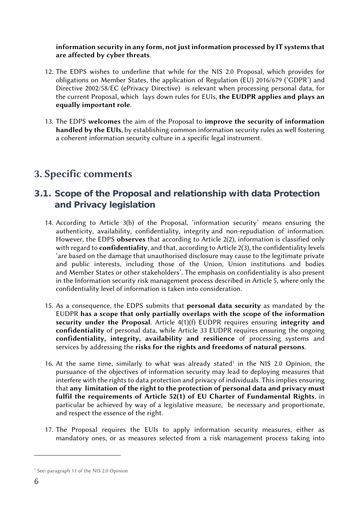#### **information security in any form, not just information processed by IT systems that are affected by cyber threats**.

- 12. The EDPS wishes to underline that while for the NIS 2.0 Proposal, which provides for obligations on Member States, the application of Regulation (EU) 2016/679 ('GDPR') and Directive 2002/58/EC (ePrivacy Directive) is relevant when processing personal data, for the current Proposal, which lays down rules for EUIs, **the EUDPR applies and plays an equally important role**.
- 13. The EDPS **welcomes** the aim of the Proposal to **improve the security of information handled by the EUIs**, by establishing common information security rules as well fostering a coherent information security culture in a specific legal instrument.

### **3. Specific comments**

- **3.1. Scope of the Proposal and relationship with data Protection and Privacy legislation**
	- 14. According to Article 3(b) of the Proposal, 'information security' means ensuring the authenticity, availability, confidentiality, integrity and non-repudiation of information. However, the EDPS **observes** that according to Article 2(2), information is classified only with regard to **confidentiality**, and that, according to Article 2(3), the confidentiality levels 'are based on the damage that unauthorised disclosure may cause to the legitimate private and public interests, including those of the Union, Union institutions and bodies and Member States or other stakeholders'. The emphasis on confidentiality is also present in the Information security risk management process described in Article 5, where only the confidentiality level of information is taken into consideration.
	- 15. As a consequence, the EDPS submits that **personal data security** as mandated by the EUDPR **has a scope that only partially overlaps with the scope of the information security under the Proposal**. Article 4(1)(f) EUDPR requires ensuring **integrity and confidentiality** of personal data, while Article 33 EUDPR requires ensuring the ongoing **confidentiality, integrity, availability and resilience** of processing systems and services by addressing the **risks for the rights and freedoms of natural persons**.
	- 16. At the same time, similarly to what was already stated<sup>1</sup> in the NIS 2.0 Opinion, the pursuance of the objectives of information security may lead to deploying measures that interfere with the rights to data protection and privacy of individuals. This implies ensuring that **any limitation of the right to the protection of personal data and privacy must fulfil the requirements of Article 52(1) of EU Charter of Fundamental Rights**, in particular be achieved by way of a legislative measure, be necessary and proportionate, and respect the essence of the right.
	- 17. The Proposal requires the EUIs to apply information security measures, either as mandatory ones, or as measures selected from a risk management process taking into

<sup>&</sup>lt;sup>1</sup> See: paragraph 11 of the NIS 2.0 Opinion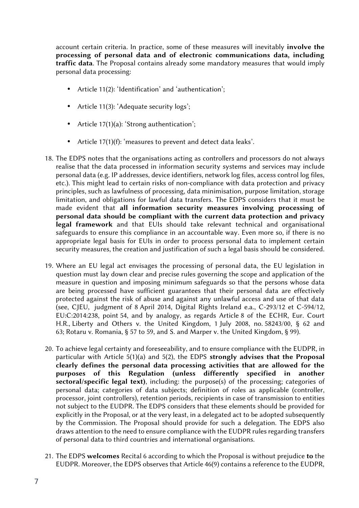account certain criteria. In practice, some of these measures will inevitably **involve the processing of personal data and of electronic communications data, including traffic data**. The Proposal contains already some mandatory measures that would imply personal data processing:

- Article 11(2): 'Identification' and 'authentication';
- Article 11(3): 'Adequate security logs';
- Article 17(1)(a): 'Strong authentication';
- Article 17(1)(f): 'measures to prevent and detect data leaks'.
- 18. The EDPS notes that the organisations acting as controllers and processors do not always realise that the data processed in information security systems and services may include personal data (e.g. IP addresses, device identifiers, network log files, access control log files, etc.). This might lead to certain risks of non-compliance with data protection and privacy principles, such as lawfulness of processing, data minimisation, purpose limitation, storage limitation, and obligations for lawful data transfers. The EDPS considers that it must be made evident that **all information security measures involving processing of personal data should be compliant with the current data protection and privacy** legal framework and that EUIs should take relevant technical and organisational safeguards to ensure this compliance in an accountable way. Even more so, if there is no appropriate legal basis for EUIs in order to process personal data to implement certain security measures, the creation and justification of such a legal basis should be considered.
- 19. Where an EU legal act envisages the processing of personal data, the EU legislation in question must lay down clear and precise rules governing the scope and application of the measure in question and imposing minimum safeguards so that the persons whose data are being processed have sufficient guarantees that their personal data are effectively protected against the risk of abuse and against any unlawful access and use of that data (see, CJEU, judgment of 8 April 2014, Digital Rights Ireland e.a., C-293/12 et C-594/12, EU:C:2014:238, point 54, and by analogy, as regards Article 8 of the ECHR, Eur. Court H.R., Liberty and Others v. the United Kingdom, 1 July 2008, no. 58243/00, § 62 and 63; Rotaru v. Romania, § 57 to 59, and S. and Marper v. the United Kingdom, § 99).
- 20. To achieve legal certainty and foreseeability, and to ensure compliance with the EUDPR, in particular with Article 5(1)(a) and 5(2), the EDPS **strongly advises that the Proposal clearly defines the personal data processing activities that are allowed for the purposes of this Regulation (unless differently specified in another sectoral/specific legal text)**, including: the purpose(s) of the processing; categories of personal data; categories of data subjects; definition of roles as applicable (controller, processor, joint controllers), retention periods, recipients in case of transmission to entities not subject to the EUDPR. The EDPS considers that these elements should be provided for explicitly in the Proposal, or at the very least, in a delegated act to be adopted subsequently by the Commission. The Proposal should provide for such a delegation. The EDPS also draws attention to the need to ensure compliance with the EUDPR rules regarding transfers of personal data to third countries and international organisations.
- 21. The EDPS **welcomes** Recital 6 according to which the Proposal is without prejudice **to** the EUDPR. Moreover, the EDPS observes that Article 46(9) contains a reference to the EUDPR,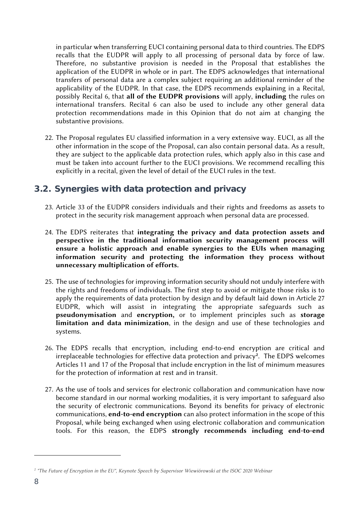in particular when transferring EUCI containing personal data to third countries. The EDPS recalls that the EUDPR will apply to all processing of personal data by force of law. Therefore, no substantive provision is needed in the Proposal that establishes the application of the EUDPR in whole or in part. The EDPS acknowledges that international transfers of personal data are a complex subject requiring an additional reminder of the applicability of the EUDPR. In that case, the EDPS recommends explaining in a Recital, possibly Recital 6, that **all of the EUDPR provisions** will apply, **including** the rules on international transfers. Recital 6 can also be used to include any other general data protection recommendations made in this Opinion that do not aim at changing the substantive provisions.

- 22. The Proposal regulates EU classified information in a very extensive way. EUCI, as all the other information in the scope of the Proposal, can also contain personal data. As a result, they are subject to the applicable data protection rules, which apply also in this case and must be taken into account further to the EUCI provisions. We recommend recalling this explicitly in a recital, given the level of detail of the EUCI rules in the text.
- **3.2. Synergies with data protection and privacy**
	- 23. Article 33 of the EUDPR considers individuals and their rights and freedoms as assets to protect in the security risk management approach when personal data are processed.
	- 24. The EDPS reiterates that **integrating the privacy and data protection assets and perspective in the traditional information security management process will ensure a holistic approach and enable synergies to the EUIs when managing information security and protecting the information they process without unnecessary multiplication of efforts.**
	- 25. The use of technologies for improving information security should not unduly interfere with the rights and freedoms of individuals. The first step to avoid or mitigate those risks is to apply the requirements of data protection by design and by default laid down in Article 27 EUDPR, which will assist in integrating the appropriate safeguards such as **pseudonymisation** and **encryption,** or to implement principles such as **storage limitation and data minimization**, in the design and use of these technologies and systems.
	- 26. The EDPS recalls that encryption, including end-to-end encryption are critical and irreplaceable technologies for effective data protection and privacy**<sup>2</sup>** . The EDPS welcomes Articles 11 and 17 of the Proposal that include encryption in the list of minimum measures for the protection of information at rest and in transit.
	- 27. As the use of tools and services for electronic collaboration and communication have now become standard in our normal working modalities, it is very important to safeguard also the security of electronic communications. Beyond its benefits for privacy of electronic communications, **end-to-end encryption** can also protect information in the scope of this Proposal, while being exchanged when using electronic collaboration and communication tools. For this reason, the EDPS **strongly recommends including end-to-end**

*<sup>2</sup> "The Future of Encryption in the EU", Keynote Speech by Supervisor Wiewiórowski at the ISOC 2020 Webinar*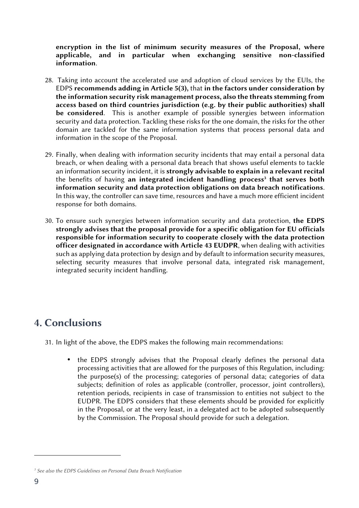**encryption in the list of minimum security measures of the Proposal, where applicable, and in particular when exchanging sensitive non-classified information**.

- 28. Taking into account the accelerated use and adoption of cloud services by the EUIs, the EDPS **recommends adding in Article 5(3),** that **in the factors under consideration by the information security risk management process, also the threats stemming from access based on third countries jurisdiction (e.g. by their public authorities) shall be considered**. This is another example of possible synergies between information security and data protection. Tackling these risks for the one domain, the risks for the other domain are tackled for the same information systems that process personal data and information in the scope of the Proposal.
- 29. Finally, when dealing with information security incidents that may entail a personal data breach, or when dealing with a personal data breach that shows useful elements to tackle an information security incident, it is **strongly advisable to explain in a relevant recital** the benefits of having **an integrated incident handling process<sup>3</sup> that serves both information security and data protection obligations on data breach notifications**. In this way, the controller can save time, resources and have a much more efficient incident response for both domains.
- 30. To ensure such synergies between information security and data protection, **the EDPS strongly advises that the proposal provide for a specific obligation for EU officials responsible for information security to cooperate closely with the data protection officer designated in accordance with Article 43 EUDPR**, when dealing with activities such as applying data protection by design and by default to information security measures, selecting security measures that involve personal data, integrated risk management, integrated security incident handling.

### **4. Conclusions**

- 31. In light of the above, the EDPS makes the following main recommendations:
	- the EDPS strongly advises that the Proposal clearly defines the personal data processing activities that are allowed for the purposes of this Regulation, including: the purpose(s) of the processing; categories of personal data; categories of data subjects; definition of roles as applicable (controller, processor, joint controllers), retention periods, recipients in case of transmission to entities not subject to the EUDPR. The EDPS considers that these elements should be provided for explicitly in the Proposal, or at the very least, in a delegated act to be adopted subsequently by the Commission. The Proposal should provide for such a delegation.

*<sup>3</sup> See also the EDPS Guidelines on Personal Data Breach Notification*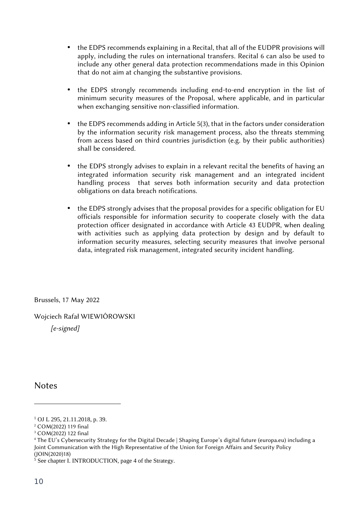- the EDPS recommends explaining in a Recital, that all of the EUDPR provisions will apply, including the rules on international transfers. Recital 6 can also be used to include any other general data protection recommendations made in this Opinion that do not aim at changing the substantive provisions.
- the EDPS strongly recommends including end-to-end encryption in the list of minimum security measures of the Proposal, where applicable, and in particular when exchanging sensitive non-classified information.
- the EDPS recommends adding in Article 5(3), that in the factors under consideration by the information security risk management process, also the threats stemming from access based on third countries jurisdiction (e.g. by their public authorities) shall be considered.
- the EDPS strongly advises to explain in a relevant recital the benefits of having an integrated information security risk management and an integrated incident handling process that serves both information security and data protection obligations on data breach notifications.
- the EDPS strongly advises that the proposal provides for a specific obligation for EU officials responsible for information security to cooperate closely with the data protection officer designated in accordance with Article 43 EUDPR, when dealing with activities such as applying data protection by design and by default to information security measures, selecting security measures that involve personal data, integrated risk management, integrated security incident handling.

Brussels, 17 May 2022

Wojciech Rafał WIEWIÓROWSKI

*[e-signed]*

Notes

<sup>1</sup> OJ L 295, 21.11.2018, p. 39.

<sup>2</sup> COM(2022) 119 final

<sup>3</sup> COM(2022) 122 final

<sup>4</sup> The EU's Cybersecurity Strategy for the Digital Decade | Shaping Europe's digital future (europa.eu) including a Joint Communication with the High Representative of the Union for Foreign Affairs and Security Policy (JOIN(2020)18)

<sup>&</sup>lt;sup>5</sup> See chapter I. INTRODUCTION, page 4 of the Strategy.